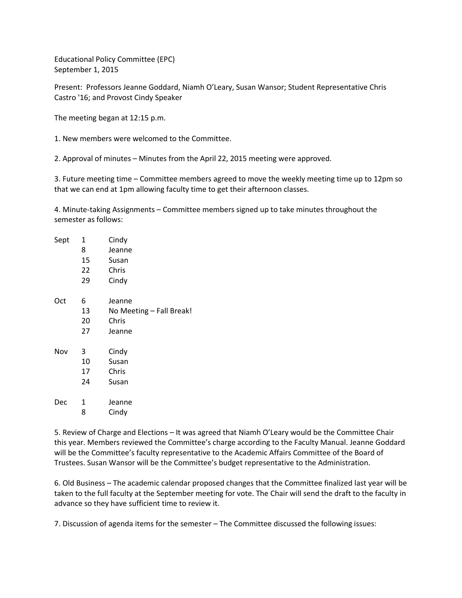Educational Policy Committee (EPC) September 1, 2015

Present: Professors Jeanne Goddard, Niamh O'Leary, Susan Wansor; Student Representative Chris Castro '16; and Provost Cindy Speaker

The meeting began at 12:15 p.m.

1. New members were welcomed to the Committee.

2. Approval of minutes – Minutes from the April 22, 2015 meeting were approved.

3. Future meeting time – Committee members agreed to move the weekly meeting time up to 12pm so that we can end at 1pm allowing faculty time to get their afternoon classes.

4. Minute-taking Assignments – Committee members signed up to take minutes throughout the semester as follows:

| Sept | 1  | Cindy                    |
|------|----|--------------------------|
|      | 8  | Jeanne                   |
|      | 15 | Susan                    |
|      | 22 | Chris                    |
|      | 29 | Cindy                    |
| Oct  | 6  | Jeanne                   |
|      | 13 | No Meeting - Fall Break! |
|      | 20 | Chris                    |
|      | 27 | Jeanne                   |
| Nov  | 3  | Cindy                    |
|      | 10 | Susan                    |
|      | 17 | Chris                    |
|      | 24 | Susan                    |
| Dec  | 1  | Jeanne                   |
|      | 8  | Cindy                    |
|      |    |                          |

5. Review of Charge and Elections – It was agreed that Niamh O'Leary would be the Committee Chair this year. Members reviewed the Committee's charge according to the Faculty Manual. Jeanne Goddard will be the Committee's faculty representative to the Academic Affairs Committee of the Board of Trustees. Susan Wansor will be the Committee's budget representative to the Administration.

6. Old Business – The academic calendar proposed changes that the Committee finalized last year will be taken to the full faculty at the September meeting for vote. The Chair will send the draft to the faculty in advance so they have sufficient time to review it.

7. Discussion of agenda items for the semester – The Committee discussed the following issues: